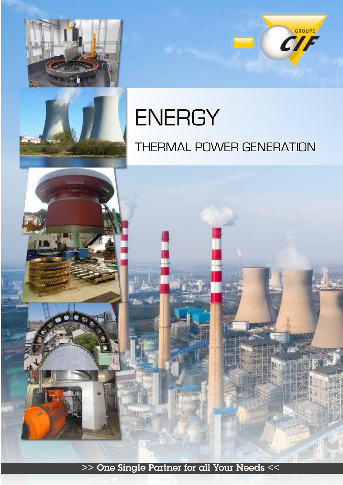



# **ENERGY** THERMAL POWER GENERATION

CIF



>> One Single Partner for all Your Needs <<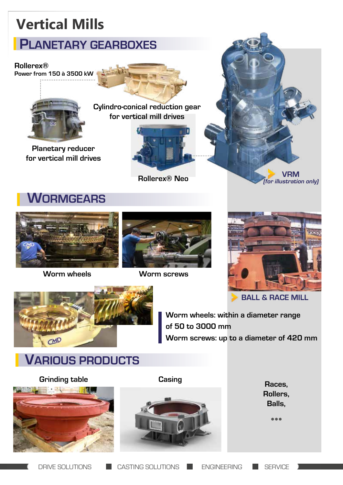# **Vertical Mills**

## **PLANETARY GEARBOXES**

#### **Rollerex®**

**Power from 150 à 3500 kW**



**Planetary reducer for vertical mill drives**



**for vertical mill drives**



**Rollerex® Neo**



#### **WORMGEARS**



**Worm wheels Worm screws**





**BALL & RACE MILL**



**Worm wheels: within a diameter range of 50 to 3000 mm Worm screws: up to a diameter of 420 mm**

### **VARIOUS PRODUCTS**





**Rollers, Balls,**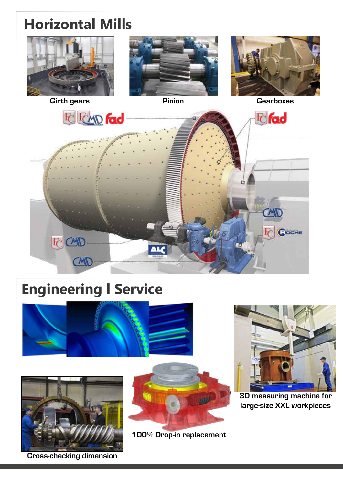# **Horizontal Mills**









# **Engineering l Service**





**Cross-checking dimension**



**100% Drop-in replacement**



**3D measuring machine for large-size XXL workpieces**